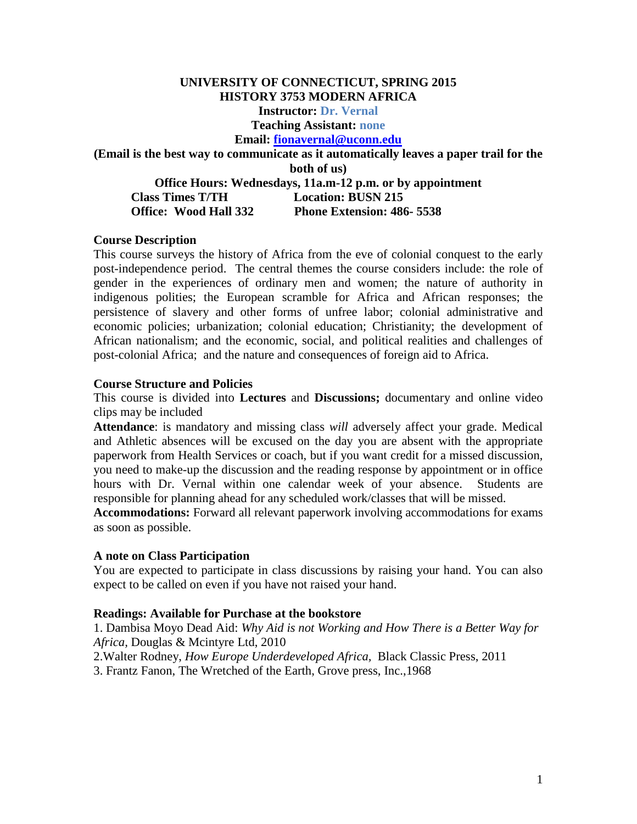# **UNIVERSITY OF CONNECTICUT, SPRING 2015 HISTORY 3753 MODERN AFRICA Instructor: Dr. Vernal Teaching Assistant: none Email: [fionavernal@uconn.edu](mailto:fionavernal@uconn.edu) (Email is the best way to communicate as it automatically leaves a paper trail for the both of us) Office Hours: Wednesdays, 11a.m-12 p.m. or by appointment Class Times T/TH Location: BUSN 215 Office: Wood Hall 332 Phone Extension: 486- 5538**

## **Course Description**

This course surveys the history of Africa from the eve of colonial conquest to the early post-independence period. The central themes the course considers include: the role of gender in the experiences of ordinary men and women; the nature of authority in indigenous polities; the European scramble for Africa and African responses; the persistence of slavery and other forms of unfree labor; colonial administrative and economic policies; urbanization; colonial education; Christianity; the development of African nationalism; and the economic, social, and political realities and challenges of post-colonial Africa; and the nature and consequences of foreign aid to Africa.

## **Course Structure and Policies**

This course is divided into **Lectures** and **Discussions;** documentary and online video clips may be included

**Attendance**: is mandatory and missing class *will* adversely affect your grade. Medical and Athletic absences will be excused on the day you are absent with the appropriate paperwork from Health Services or coach, but if you want credit for a missed discussion, you need to make-up the discussion and the reading response by appointment or in office hours with Dr. Vernal within one calendar week of your absence. Students are responsible for planning ahead for any scheduled work/classes that will be missed.

**Accommodations:** Forward all relevant paperwork involving accommodations for exams as soon as possible.

## **A note on Class Participation**

You are expected to participate in class discussions by raising your hand. You can also expect to be called on even if you have not raised your hand.

## **Readings: Available for Purchase at the bookstore**

1. Dambisa Moyo Dead Aid: *Why Aid is not Working and How There is a Better Way for Africa,* Douglas & Mcintyre Ltd, 2010

2.Walter Rodney, *How Europe Underdeveloped Africa,* Black Classic Press, 2011

3. Frantz Fanon, The Wretched of the Earth, Grove press, Inc.,1968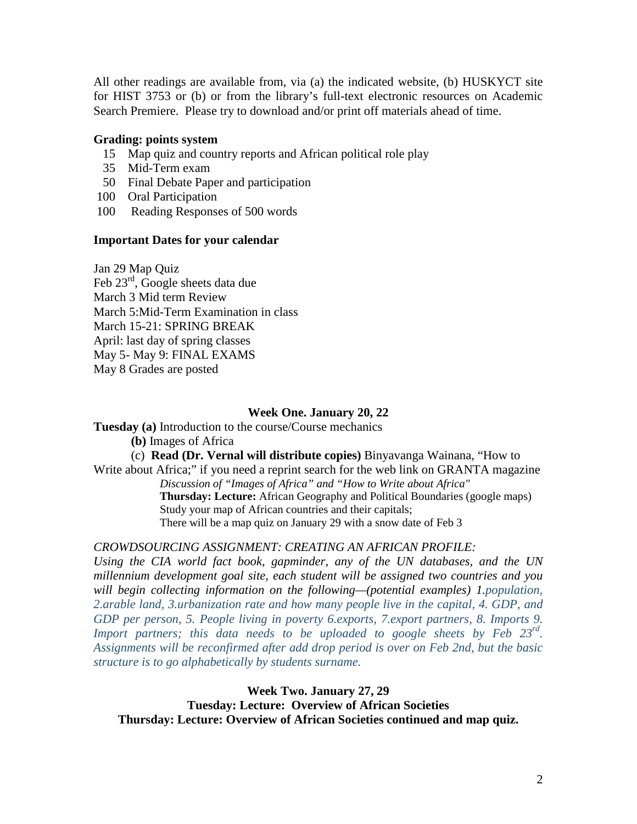All other readings are available from, via (a) the indicated website, (b) HUSKYCT site for HIST 3753 or (b) or from the library's full-text electronic resources on Academic Search Premiere. Please try to download and/or print off materials ahead of time.

## **Grading: points system**

- 15 Map quiz and country reports and African political role play
- 35 Mid-Term exam
- 50 Final Debate Paper and participation
- 100 Oral Participation
- 100 Reading Responses of 500 words

## **Important Dates for your calendar**

Jan 29 Map Quiz Feb 23<sup>rd</sup>, Google sheets data due March 3 Mid term Review March 5:Mid-Term Examination in class March 15-21: SPRING BREAK April: last day of spring classes May 5- May 9: FINAL EXAMS May 8 Grades are posted

## **Week One. January 20, 22**

**Tuesday (a)** Introduction to the course/Course mechanics

**(b)** Images of Africa

(c) **Read (Dr. Vernal will distribute copies)** Binyavanga Wainana, "How to Write about Africa;" if you need a reprint search for the web link on GRANTA magazine *Discussion of "Images of Africa" and "How to Write about Africa"* **Thursday: Lecture:** African Geography and Political Boundaries (google maps) Study your map of African countries and their capitals;

There will be a map quiz on January 29 with a snow date of Feb 3

*CROWDSOURCING ASSIGNMENT: CREATING AN AFRICAN PROFILE:*

*Using the CIA world fact book, gapminder, any of the UN databases, and the UN millennium development goal site, each student will be assigned two countries and you will begin collecting information on the following—(potential examples) 1.population, 2.arable land, 3.urbanization rate and how many people live in the capital, 4. GDP, and GDP per person, 5. People living in poverty 6.exports, 7.export partners, 8. Imports 9. Import partners; this data needs to be uploaded to google sheets by Feb 23rd. Assignments will be reconfirmed after add drop period is over on Feb 2nd, but the basic structure is to go alphabetically by students surname.* 

**Week Two. January 27, 29 Tuesday: Lecture: Overview of African Societies Thursday: Lecture: Overview of African Societies continued and map quiz.**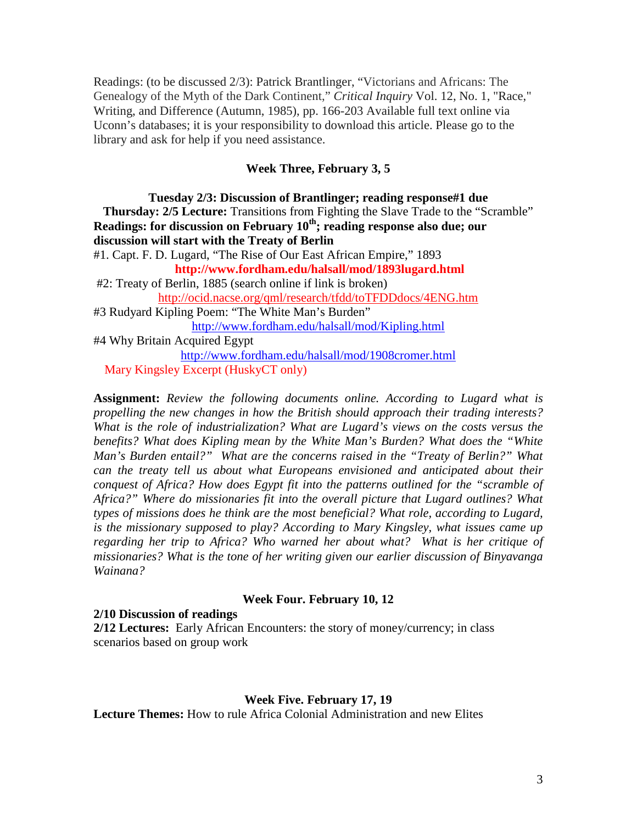Readings: (to be discussed 2/3): Patrick Brantlinger, "Victorians and Africans: The Genealogy of the Myth of the Dark Continent," *Critical Inquiry* Vol. 12, No. 1, "Race," Writing, and Difference (Autumn, 1985), pp. 166-203 Available full text online via Uconn's databases; it is your responsibility to download this article. Please go to the library and ask for help if you need assistance.

## **Week Three, February 3, 5**

**Tuesday 2/3: Discussion of Brantlinger; reading response#1 due Thursday: 2/5 Lecture:** Transitions from Fighting the Slave Trade to the "Scramble" **Readings: for discussion on February 10th; reading response also due; our discussion will start with the Treaty of Berlin** 

#1. Capt. F. D. Lugard, "The Rise of Our East African Empire," 1893 **http://www.fordham.edu/halsall/mod/1893lugard.html**

#2: Treaty of Berlin, 1885 (search online if link is broken) <http://ocid.nacse.org/qml/research/tfdd/toTFDDdocs/4ENG.htm>

#3 Rudyard Kipling Poem: "The White Man's Burden" <http://www.fordham.edu/halsall/mod/Kipling.html> #4 Why Britain Acquired Egypt <http://www.fordham.edu/halsall/mod/1908cromer.html>

Mary Kingsley Excerpt (HuskyCT only)

**Assignment:** *Review the following documents online. According to Lugard what is propelling the new changes in how the British should approach their trading interests? What is the role of industrialization? What are Lugard's views on the costs versus the benefits? What does Kipling mean by the White Man's Burden? What does the "White Man's Burden entail?" What are the concerns raised in the "Treaty of Berlin?" What can the treaty tell us about what Europeans envisioned and anticipated about their conquest of Africa? How does Egypt fit into the patterns outlined for the "scramble of Africa?" Where do missionaries fit into the overall picture that Lugard outlines? What types of missions does he think are the most beneficial? What role, according to Lugard, is the missionary supposed to play? According to Mary Kingsley, what issues came up regarding her trip to Africa? Who warned her about what? What is her critique of missionaries? What is the tone of her writing given our earlier discussion of Binyavanga Wainana?*

# **Week Four. February 10, 12**

# **2/10 Discussion of readings**

**2/12 Lectures:** Early African Encounters: the story of money/currency; in class scenarios based on group work

## **Week Five. February 17, 19**

**Lecture Themes:** How to rule Africa Colonial Administration and new Elites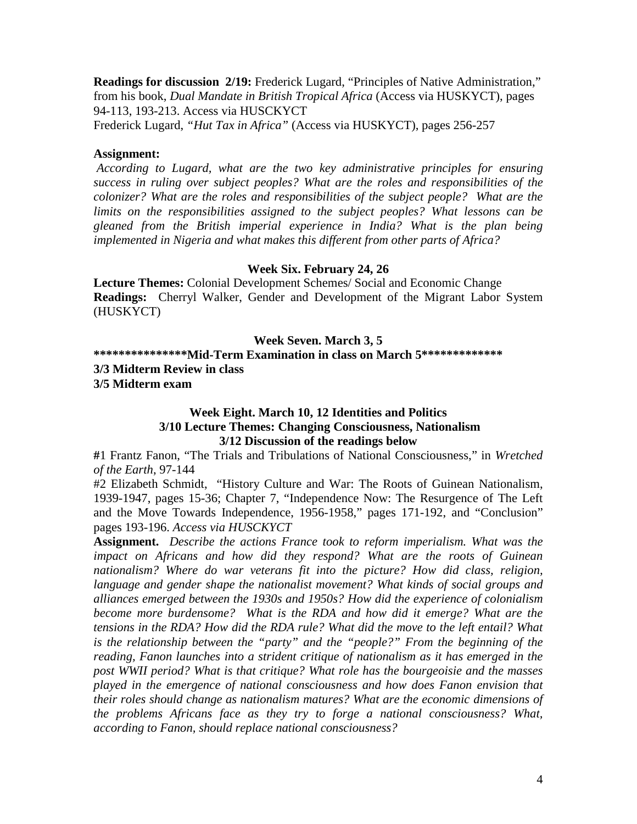**Readings for discussion 2/19:** Frederick Lugard, "Principles of Native Administration," from his book, *Dual Mandate in British Tropical Africa* (Access via HUSKYCT), pages 94-113, 193-213. Access via HUSCKYCT

Frederick Lugard, *"Hut Tax in Africa"* (Access via HUSKYCT), pages 256-257

## **Assignment:**

*According to Lugard, what are the two key administrative principles for ensuring success in ruling over subject peoples? What are the roles and responsibilities of the colonizer? What are the roles and responsibilities of the subject people? What are the limits on the responsibilities assigned to the subject peoples? What lessons can be gleaned from the British imperial experience in India? What is the plan being implemented in Nigeria and what makes this different from other parts of Africa?*

# **Week Six. February 24, 26**

**Lecture Themes:** Colonial Development Schemes/ Social and Economic Change **Readings:** Cherryl Walker, Gender and Development of the Migrant Labor System (HUSKYCT)

# **Week Seven. March 3, 5**

**\*\*\*\*\*\*\*\*\*\*\*\*\*\*\*Mid-Term Examination in class on March 5\*\*\*\*\*\*\*\*\*\*\*\*\* 3/3 Midterm Review in class**

**3/5 Midterm exam**

# **Week Eight. March 10, 12 Identities and Politics 3/10 Lecture Themes: Changing Consciousness, Nationalism 3/12 Discussion of the readings below**

**#**1 Frantz Fanon, "The Trials and Tribulations of National Consciousness," in *Wretched of the Earth*, 97-144

#2 Elizabeth Schmidt, "History Culture and War: The Roots of Guinean Nationalism, 1939-1947, pages 15-36; Chapter 7, "Independence Now: The Resurgence of The Left and the Move Towards Independence, 1956-1958," pages 171-192, and "Conclusion" pages 193-196. *Access via HUSCKYCT*

**Assignment.** *Describe the actions France took to reform imperialism. What was the impact on Africans and how did they respond? What are the roots of Guinean*  nationalism? Where do war veterans fit into the picture? How did class, religion, *language and gender shape the nationalist movement? What kinds of social groups and alliances emerged between the 1930s and 1950s? How did the experience of colonialism become more burdensome? What is the RDA and how did it emerge? What are the tensions in the RDA? How did the RDA rule? What did the move to the left entail? What is the relationship between the "party" and the "people?" From the beginning of the reading, Fanon launches into a strident critique of nationalism as it has emerged in the post WWII period? What is that critique? What role has the bourgeoisie and the masses played in the emergence of national consciousness and how does Fanon envision that their roles should change as nationalism matures? What are the economic dimensions of the problems Africans face as they try to forge a national consciousness? What, according to Fanon, should replace national consciousness?*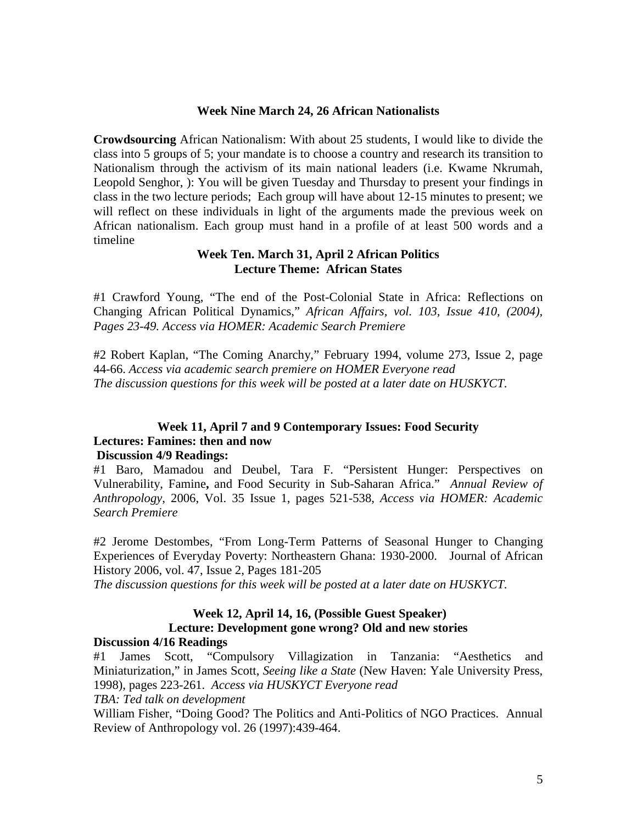## **Week Nine March 24, 26 African Nationalists**

**Crowdsourcing** African Nationalism: With about 25 students, I would like to divide the class into 5 groups of 5; your mandate is to choose a country and research its transition to Nationalism through the activism of its main national leaders (i.e. Kwame Nkrumah, Leopold Senghor, ): You will be given Tuesday and Thursday to present your findings in class in the two lecture periods; Each group will have about 12-15 minutes to present; we will reflect on these individuals in light of the arguments made the previous week on African nationalism. Each group must hand in a profile of at least 500 words and a timeline

## **Week Ten. March 31, April 2 African Politics Lecture Theme: African States**

#1 Crawford Young, "The end of the Post-Colonial State in Africa: Reflections on Changing African Political Dynamics," *African Affairs, vol. 103, Issue 410, (2004), Pages 23-49. Access via HOMER: Academic Search Premiere*

#2 Robert Kaplan, "The Coming Anarchy," February 1994, volume 273, Issue 2, page 44-66. *Access via academic search premiere on HOMER Everyone read The discussion questions for this week will be posted at a later date on HUSKYCT.* 

# **Week 11, April 7 and 9 Contemporary Issues: Food Security Lectures: Famines: then and now**

# **Discussion 4/9 Readings:**

#1 Baro, Mamadou and Deubel, Tara F. ["Persistent Hunger: Perspectives on](http://web.ebscohost.com/ehost/viewarticle?data=dGJyMPPp44rp2%2fdV0%2bnjisfk5Ie46bZRtqy0Tbek63nn5Kx95uXxjL6nrU2tqK5ItZaxUq6quE22ls5lpOrweezp33vy3%2b2G59q7RbCmr06vrK9Pr6ikhN%2fk5VXj5KR84LPfiOac8nnls79mpNfsVbCpsk%2bzqa9RpNztiuvX8lXk6%2bqE0tv2jAAA&hid=112)  Vulnerability, Famine**,** [and Food Security in Sub-Saharan Africa."](http://web.ebscohost.com/ehost/viewarticle?data=dGJyMPPp44rp2%2fdV0%2bnjisfk5Ie46bZRtqy0Tbek63nn5Kx95uXxjL6nrU2tqK5ItZaxUq6quE22ls5lpOrweezp33vy3%2b2G59q7RbCmr06vrK9Pr6ikhN%2fk5VXj5KR84LPfiOac8nnls79mpNfsVbCpsk%2bzqa9RpNztiuvX8lXk6%2bqE0tv2jAAA&hid=112) *Annual Review of Anthropology*, 2006, Vol. 35 Issue 1, pages 521-538, *Access via HOMER: Academic Search Premiere*

#2 Jerome Destombes, "From Long-Term Patterns of Seasonal Hunger to Changing Experiences of Everyday Poverty: Northeastern Ghana: 1930-2000. Journal of African History 2006, vol. 47, Issue 2, Pages 181-205

*The discussion questions for this week will be posted at a later date on HUSKYCT.* 

## **Week 12, April 14, 16, (Possible Guest Speaker) Lecture: Development gone wrong? Old and new stories Discussion 4/16 Readings**

#1 James Scott, "Compulsory Villagization in Tanzania: "Aesthetics and Miniaturization," in James Scott, *Seeing like a State* (New Haven: Yale University Press, 1998), pages 223-261. *Access via HUSKYCT Everyone read*

*TBA: Ted talk on development*

William Fisher, "Doing Good? The Politics and Anti-Politics of NGO Practices. Annual Review of Anthropology vol. 26 (1997):439-464.